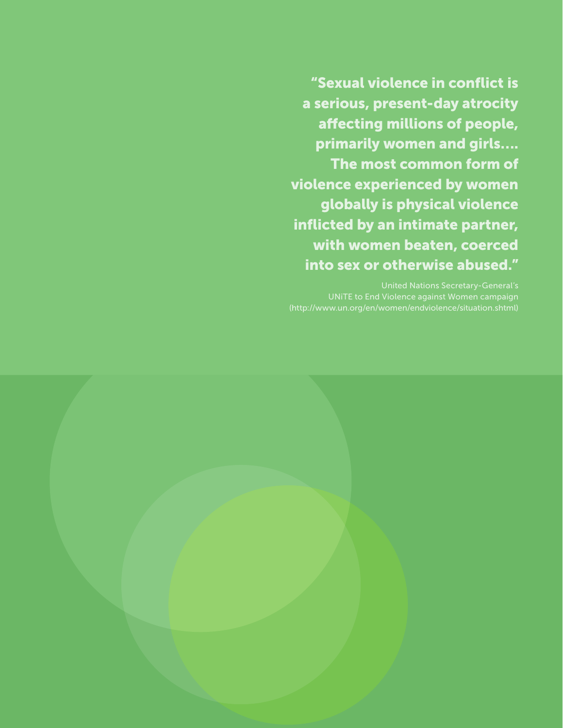"Sexual violence in conflict is a serious, present-day atrocity affecting millions of people, primarily women and girls…. The most common form of violence experienced by women globally is physical violence inflicted by an intimate partner, with women beaten, coerced into sex or otherwise abused."

United Nations Secretary-General's UNiTE to End Violence against Women campaign

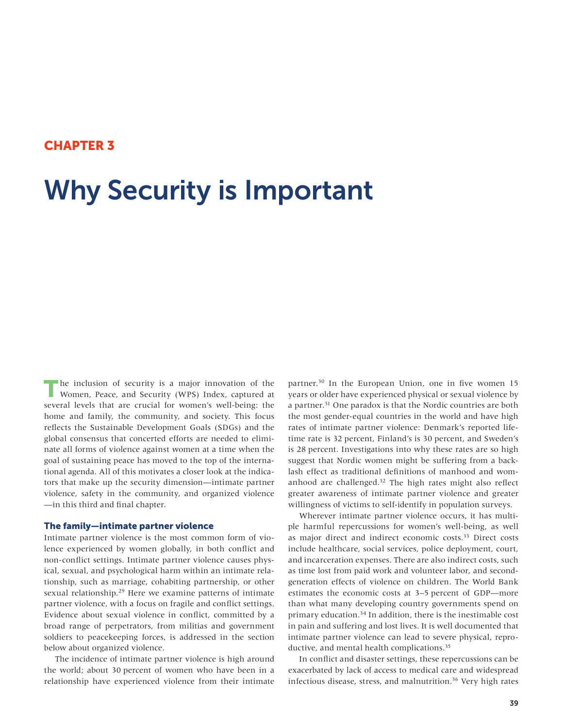## CHAPTER 3

# Why Security is Important

The inclusion of security is a major innovation of the Women, Peace, and Security (WPS) Index, captured at several levels that are crucial for women's well-being: the home and family, the community, and society. This focus reflects the Sustainable Development Goals (SDGs) and the global consensus that concerted efforts are needed to eliminate all forms of violence against women at a time when the goal of sustaining peace has moved to the top of the international agenda. All of this motivates a closer look at the indicators that make up the security dimension—intimate partner violence, safety in the community, and organized violence —in this third and final chapter.

#### The family—intimate partner violence

Intimate partner violence is the most common form of violence experienced by women globally, in both conflict and non-conflict settings. Intimate partner violence causes physical, sexual, and psychological harm within an intimate relationship, such as marriage, cohabiting partnership, or other sexual relationship.29 Here we examine patterns of intimate partner violence, with a focus on fragile and conflict settings. Evidence about sexual violence in conflict, committed by a broad range of perpetrators, from militias and government soldiers to peacekeeping forces, is addressed in the section below about organized violence.

The incidence of intimate partner violence is high around the world; about 30 percent of women who have been in a relationship have experienced violence from their intimate partner.30 In the European Union, one in five women 15 years or older have experienced physical or sexual violence by a partner.<sup>31</sup> One paradox is that the Nordic countries are both the most gender-equal countries in the world and have high rates of intimate partner violence: Denmark's reported lifetime rate is 32 percent, Finland's is 30 percent, and Sweden's is 28 percent. Investigations into why these rates are so high suggest that Nordic women might be suffering from a backlash effect as traditional definitions of manhood and womanhood are challenged.32 The high rates might also reflect greater awareness of intimate partner violence and greater willingness of victims to self-identify in population surveys.

Wherever intimate partner violence occurs, it has multiple harmful repercussions for women's well-being, as well as major direct and indirect economic costs.<sup>33</sup> Direct costs include healthcare, social services, police deployment, court, and incarceration expenses. There are also indirect costs, such as time lost from paid work and volunteer labor, and secondgeneration effects of violence on children. The World Bank estimates the economic costs at 3–5 percent of GDP—more than what many developing country governments spend on primary education.<sup>34</sup> In addition, there is the inestimable cost in pain and suffering and lost lives. It is well documented that intimate partner violence can lead to severe physical, reproductive, and mental health complications.<sup>35</sup>

In conflict and disaster settings, these repercussions can be exacerbated by lack of access to medical care and widespread infectious disease, stress, and malnutrition.<sup>36</sup> Very high rates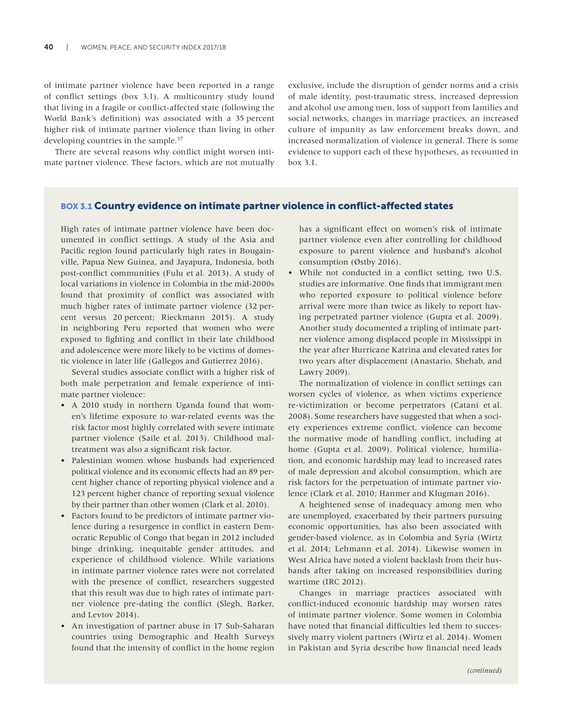of intimate partner violence have been reported in a range of conflict settings (box 3.1). A multicountry study found that living in a fragile or conflict-affected state (following the World Bank's definition) was associated with a 35 percent higher risk of intimate partner violence than living in other developing countries in the sample.37

There are several reasons why conflict might worsen intimate partner violence. These factors, which are not mutually exclusive, include the disruption of gender norms and a crisis of male identity, post-traumatic stress, increased depression and alcohol use among men, loss of support from families and social networks, changes in marriage practices, an increased culture of impunity as law enforcement breaks down, and increased normalization of violence in general. There is some evidence to support each of these hypotheses, as recounted in box 3.1.

#### BOX 3.1 Country evidence on intimate partner violence in conflict-affected states

High rates of intimate partner violence have been documented in conflict settings. A study of the Asia and Pacific region found particularly high rates in Bougainville, Papua New Guinea, and Jayapura, Indonesia, both post-conflict communities (Fulu et al. 2013). A study of local variations in violence in Colombia in the mid-2000s found that proximity of conflict was associated with much higher rates of intimate partner violence (32 percent versus 20 percent; Rieckmann 2015). A study in neighboring Peru reported that women who were exposed to fighting and conflict in their late childhood and adolescence were more likely to be victims of domestic violence in later life (Gallegos and Gutierrez 2016).

Several studies associate conflict with a higher risk of both male perpetration and female experience of intimate partner violence:

- A 2010 study in northern Uganda found that women's lifetime exposure to war-related events was the risk factor most highly correlated with severe intimate partner violence (Saile et al. 2013). Childhood maltreatment was also a significant risk factor.
- Palestinian women whose husbands had experienced political violence and its economic effects had an 89 percent higher chance of reporting physical violence and a 123 percent higher chance of reporting sexual violence by their partner than other women (Clark et al. 2010).
- Factors found to be predictors of intimate partner violence during a resurgence in conflict in eastern Democratic Republic of Congo that began in 2012 included binge drinking, inequitable gender attitudes, and experience of childhood violence. While variations in intimate partner violence rates were not correlated with the presence of conflict, researchers suggested that this result was due to high rates of intimate partner violence pre-dating the conflict (Slegh, Barker, and Levtov 2014).
- An investigation of partner abuse in 17 Sub-Saharan countries using Demographic and Health Surveys found that the intensity of conflict in the home region

has a significant effect on women's risk of intimate partner violence even after controlling for childhood exposure to parent violence and husband's alcohol consumption (Østby 2016).

• While not conducted in a conflict setting, two U.S. studies are informative. One finds that immigrant men who reported exposure to political violence before arrival were more than twice as likely to report having perpetrated partner violence (Gupta et al. 2009). Another study documented a tripling of intimate partner violence among displaced people in Mississippi in the year after Hurricane Katrina and elevated rates for two years after displacement (Anastario, Shehab, and Lawry 2009).

The normalization of violence in conflict settings can worsen cycles of violence, as when victims experience re-victimization or become perpetrators (Catani et al. 2008). Some researchers have suggested that when a society experiences extreme conflict, violence can become the normative mode of handling conflict, including at home (Gupta et al. 2009). Political violence, humiliation, and economic hardship may lead to increased rates of male depression and alcohol consumption, which are risk factors for the perpetuation of intimate partner violence (Clark et al. 2010; Hanmer and Klugman 2016).

A heightened sense of inadequacy among men who are unemployed, exacerbated by their partners pursuing economic opportunities, has also been associated with gender-based violence, as in Colombia and Syria (Wirtz et al. 2014; Lehmann et al. 2014). Likewise women in West Africa have noted a violent backlash from their husbands after taking on increased responsibilities during wartime (IRC 2012).

Changes in marriage practices associated with conflict-induced economic hardship may worsen rates of intimate partner violence. Some women in Colombia have noted that financial difficulties led them to successively marry violent partners (Wirtz et al. 2014). Women in Pakistan and Syria describe how financial need leads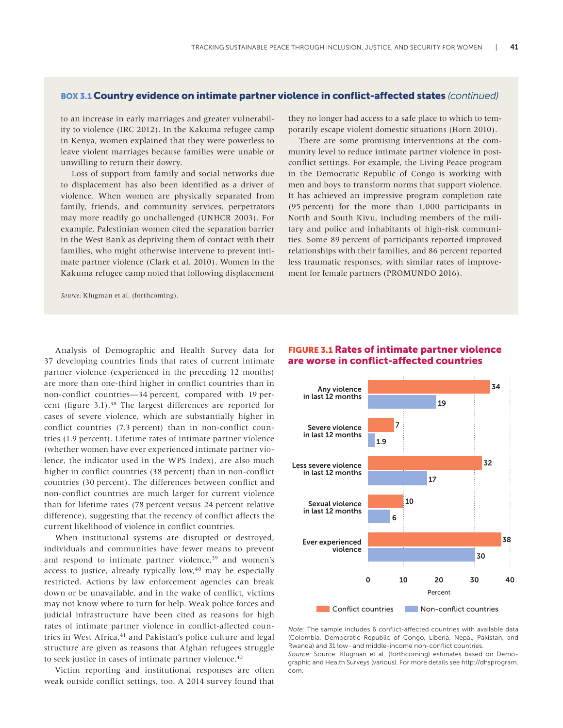### BOX 3.1 Country evidence on intimate partner violence in conflict-affected states *(continued)*

to an increase in early marriages and greater vulnerability to violence (IRC 2012). In the Kakuma refugee camp in Kenya, women explained that they were powerless to leave violent marriages because families were unable or unwilling to return their dowry.

Loss of support from family and social networks due to displacement has also been identified as a driver of violence. When women are physically separated from family, friends, and community services, perpetrators may more readily go unchallenged (UNHCR 2003). For example, Palestinian women cited the separation barrier in the West Bank as depriving them of contact with their families, who might otherwise intervene to prevent intimate partner violence (Clark et al. 2010). Women in the Kakuma refugee camp noted that following displacement

*Source:* Klugman et al. (forthcoming).

Analysis of Demographic and Health Survey data for 37 developing countries finds that rates of current intimate partner violence (experienced in the preceding 12 months) are more than one-third higher in conflict countries than in non-conflict countries—34 percent, compared with 19 percent (figure 3.1).<sup>38</sup> The largest differences are reported for cases of severe violence, which are substantially higher in conflict countries (7.3 percent) than in non-conflict countries (1.9 percent). Lifetime rates of intimate partner violence (whether women have ever experienced intimate partner violence, the indicator used in the WPS Index), are also much higher in conflict countries (38 percent) than in non-conflict countries (30 percent). The differences between conflict and non-conflict countries are much larger for current violence than for lifetime rates (78 percent versus 24 percent relative difference), suggesting that the recency of conflict affects the current likelihood of violence in conflict countries.

When institutional systems are disrupted or destroyed, individuals and communities have fewer means to prevent and respond to intimate partner violence,<sup>39</sup> and women's access to justice, already typically low,<sup>40</sup> may be especially restricted. Actions by law enforcement agencies can break down or be unavailable, and in the wake of conflict, victims may not know where to turn for help. Weak police forces and judicial infrastructure have been cited as reasons for high rates of intimate partner violence in conflict-affected countries in West Africa,<sup>41</sup> and Pakistan's police culture and legal structure are given as reasons that Afghan refugees struggle to seek justice in cases of intimate partner violence.<sup>42</sup>

Victim reporting and institutional responses are often weak outside conflict settings, too. A 2014 survey found that

they no longer had access to a safe place to which to temporarily escape violent domestic situations (Horn 2010).

There are some promising interventions at the community level to reduce intimate partner violence in postconflict settings. For example, the Living Peace program in the Democratic Republic of Congo is working with men and boys to transform norms that support violence. It has achieved an impressive program completion rate (95 percent) for the more than 1,000 participants in North and South Kivu, including members of the military and police and inhabitants of high-risk communities. Some 89 percent of participants reported improved relationships with their families, and 86 percent reported less traumatic responses, with similar rates of improvement for female partners (PROMUNDO 2016).



## FIGURE 3.1 Rates of intimate partner violence are worse in conflict-affected countries

*Note:* The sample includes 6 conflict-affected countries with available data (Colombia, Democratic Republic of Congo, Liberia, Nepal, Pakistan, and Rwanda) and 31 low- and middle-income non-conflict countries. *Source:* Source: Klugman et al. (forthcoming) estimates based on Demographic and Health Surveys (various). For more details see http://dhsprogram. com.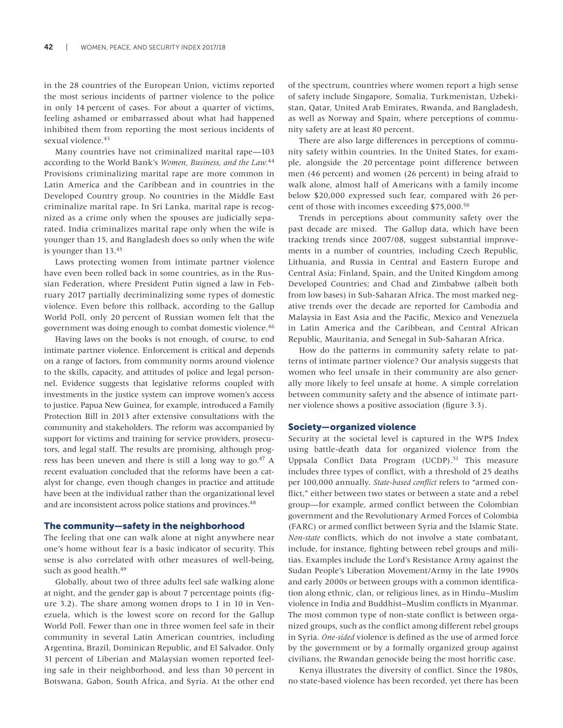in the 28 countries of the European Union, victims reported the most serious incidents of partner violence to the police in only 14 percent of cases. For about a quarter of victims, feeling ashamed or embarrassed about what had happened inhibited them from reporting the most serious incidents of sexual violence.<sup>43</sup>

Many countries have not criminalized marital rape—103 according to the World Bank's *Women, Business, and the Law.*<sup>44</sup> Provisions criminalizing marital rape are more common in Latin America and the Caribbean and in countries in the Developed Country group. No countries in the Middle East criminalize marital rape. In Sri Lanka, marital rape is recognized as a crime only when the spouses are judicially separated. India criminalizes marital rape only when the wife is younger than 15, and Bangladesh does so only when the wife is younger than 13.45

Laws protecting women from intimate partner violence have even been rolled back in some countries, as in the Russian Federation, where President Putin signed a law in February 2017 partially decriminalizing some types of domestic violence. Even before this rollback, according to the Gallup World Poll, only 20 percent of Russian women felt that the government was doing enough to combat domestic violence.46

Having laws on the books is not enough, of course, to end intimate partner violence. Enforcement is critical and depends on a range of factors, from community norms around violence to the skills, capacity, and attitudes of police and legal personnel. Evidence suggests that legislative reforms coupled with investments in the justice system can improve women's access to justice. Papua New Guinea, for example, introduced a Family Protection Bill in 2013 after extensive consultations with the community and stakeholders. The reform was accompanied by support for victims and training for service providers, prosecutors, and legal staff. The results are promising, although progress has been uneven and there is still a long way to go.<sup>47</sup> A recent evaluation concluded that the reforms have been a catalyst for change, even though changes in practice and attitude have been at the individual rather than the organizational level and are inconsistent across police stations and provinces.<sup>48</sup>

#### The community—safety in the neighborhood

The feeling that one can walk alone at night anywhere near one's home without fear is a basic indicator of security. This sense is also correlated with other measures of well-being, such as good health.<sup>49</sup>

Globally, about two of three adults feel safe walking alone at night, and the gender gap is about 7 percentage points (figure 3.2). The share among women drops to 1 in 10 in Venezuela, which is the lowest score on record for the Gallup World Poll. Fewer than one in three women feel safe in their community in several Latin American countries, including Argentina, Brazil, Dominican Republic, and El Salvador. Only 31 percent of Liberian and Malaysian women reported feeling safe in their neighborhood, and less than 30 percent in Botswana, Gabon, South Africa, and Syria. At the other end of the spectrum, countries where women report a high sense of safety include Singapore, Somalia, Turkmenistan, Uzbekistan, Qatar, United Arab Emirates, Rwanda, and Bangladesh, as well as Norway and Spain, where perceptions of community safety are at least 80 percent.

There are also large differences in perceptions of community safety within countries. In the United States, for example, alongside the 20 percentage point difference between men (46 percent) and women (26 percent) in being afraid to walk alone, almost half of Americans with a family income below \$20,000 expressed such fear, compared with 26 percent of those with incomes exceeding \$75,000.50

Trends in perceptions about community safety over the past decade are mixed. The Gallup data, which have been tracking trends since 2007/08, suggest substantial improvements in a number of countries, including Czech Republic, Lithuania, and Russia in Central and Eastern Europe and Central Asia; Finland, Spain, and the United Kingdom among Developed Countries; and Chad and Zimbabwe (albeit both from low bases) in Sub-Saharan Africa. The most marked negative trends over the decade are reported for Cambodia and Malaysia in East Asia and the Pacific, Mexico and Venezuela in Latin America and the Caribbean, and Central African Republic, Mauritania, and Senegal in Sub-Saharan Africa.

How do the patterns in community safety relate to patterns of intimate partner violence? Our analysis suggests that women who feel unsafe in their community are also generally more likely to feel unsafe at home. A simple correlation between community safety and the absence of intimate partner violence shows a positive association (figure 3.3).

#### Society—organized violence

Security at the societal level is captured in the WPS Index using battle-death data for organized violence from the [Uppsala Conflict Data Program \(UCDP\)](http://ucdp.uu.se/downloads/).<sup>51</sup> This measure includes three types of conflict, with a threshold of 25 deaths per 100,000 annually. *State-based conflict* refers to "armed conflict," either between two states or between a state and a rebel group—for example, armed conflict between the Colombian government and the Revolutionary Armed Forces of Colombia (FARC) or armed conflict between Syria and the Islamic State. *Non-state* conflicts, which do not involve a state combatant, include, for instance, fighting between rebel groups and militias. Examples include the Lord's Resistance Army against the Sudan People's Liberation Movement/Army in the late 1990s and early 2000s or between groups with a common identification along ethnic, clan, or religious lines, as in Hindu–Muslim violence in India and Buddhist–Muslim conflicts in Myanmar. The most common type of non-state conflict is between organized groups, such as the conflict among different rebel groups in Syria. *One-sided* violence is defined as the use of armed force by the government or by a formally organized group against civilians, the Rwandan genocide being the most horrific case.

Kenya illustrates the diversity of conflict. Since the 1980s, no state-based violence has been recorded, yet there has been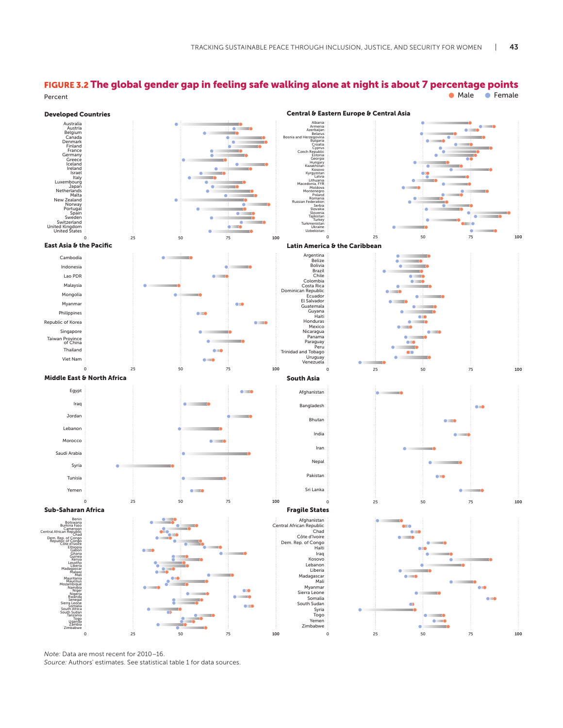## FIGURE 3.2 The global gender gap in feeling safe walking alone at night is about 7 percentage points Percent Contract Contract Contract Contract Contract Contract Contract Contract Contract Contract Contract Contract Contract Contract Contract Contract Contract Contract Contract Contract Contract Contract Contract Contrac



*Note:* Data are most recent for 2010–16.

*Source:* Authors' estimates. See statistical table 1 for data sources.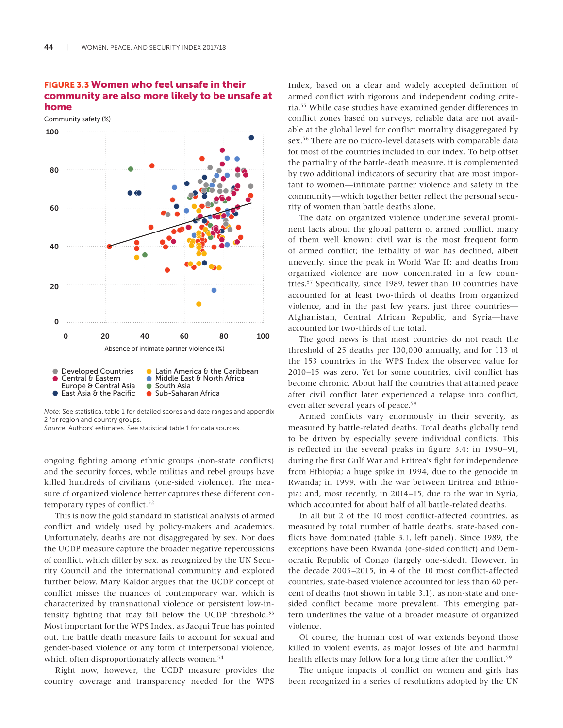Community safety (%)

## FIGURE 3.3 Women who feel unsafe in their community are also more likely to be unsafe at home

100 80 **A** @ 60 40 20 Ο 0 Absence of intimate partner violence (%) **Developed Countries** Latin America & the Caribbean Central & Eastern Middle East & North Africa Europe & Central Asia  $\bullet$ South Asia ● East Asia & the Pacific Sub-Saharan Africa

*Note:* See statistical table 1 for detailed scores and date ranges and appendix 2 for region and country groups.

*Source:* Authors' estimates. See statistical table 1 for data sources.

ongoing fighting among ethnic groups (non-state conflicts) and the security forces, while militias and rebel groups have killed hundreds of civilians (one-sided violence). The measure of organized violence better captures these different contemporary types of conflict.<sup>52</sup>

This is now the gold standard in statistical analysis of armed conflict and widely used by policy-makers and academics. Unfortunately, deaths are not disaggregated by sex. Nor does the UCDP measure capture the broader negative repercussions of conflict, which differ by sex, as recognized by the UN Security Council and the international community and explored further below. Mary Kaldor argues that the UCDP concept of conflict misses the nuances of contemporary war, which is characterized by transnational violence or persistent low-intensity fighting that may fall below the UCDP threshold.<sup>53</sup> Most important for the WPS Index, as Jacqui True has pointed out, the battle death measure fails to account for sexual and gender-based violence or any form of interpersonal violence, which often disproportionately affects women.<sup>54</sup>

Right now, however, the UCDP measure provides the country coverage and transparency needed for the WPS Index, based on a clear and widely accepted definition of armed conflict with rigorous and independent coding criteria.55 While case studies have examined gender differences in conflict zones based on surveys, reliable data are not available at the global level for conflict mortality disaggregated by sex.56 There are no micro-level datasets with comparable data for most of the countries included in our index. To help offset the partiality of the battle-death measure, it is complemented by two additional indicators of security that are most important to women—intimate partner violence and safety in the community—which together better reflect the personal security of women than battle deaths alone.

The data on organized violence underline several prominent facts about the global pattern of armed conflict, many of them well known: civil war is the most frequent form of armed conflict; the lethality of war has declined, albeit unevenly, since the peak in World War II; and deaths from organized violence are now concentrated in a few countries.57 Specifically, since 1989, fewer than 10 countries have accounted for at least two-thirds of deaths from organized violence, and in the past few years, just three countries— Afghanistan, Central African Republic, and Syria—have accounted for two-thirds of the total.

The good news is that most countries do not reach the threshold of 25 deaths per 100,000 annually, and for 113 of the 153 countries in the WPS Index the observed value for 2010–15 was zero. Yet for some countries, civil conflict has become chronic. About half the countries that attained peace after civil conflict later experienced a relapse into conflict, even after several years of peace.<sup>58</sup>

Armed conflicts vary enormously in their severity, as measured by battle-related deaths. Total deaths globally tend to be driven by especially severe individual conflicts. This is reflected in the several peaks in figure 3.4: in 1990–91, during the first Gulf War and Eritrea's fight for independence from Ethiopia; a huge spike in 1994, due to the genocide in Rwanda; in 1999, with the war between Eritrea and Ethiopia; and, most recently, in 2014–15, due to the war in Syria, which accounted for about half of all battle-related deaths.

In all but 2 of the 10 most conflict-affected countries, as measured by total number of battle deaths, state-based conflicts have dominated (table 3.1, left panel). Since 1989, the exceptions have been Rwanda (one-sided conflict) and Democratic Republic of Congo (largely one-sided). However, in the decade 2005–2015, in 4 of the 10 most conflict-affected countries, state-based violence accounted for less than 60 percent of deaths (not shown in table 3.1), as non-state and onesided conflict became more prevalent. This emerging pattern underlines the value of a broader measure of organized violence.

Of course, the human cost of war extends beyond those killed in violent events, as major losses of life and harmful health effects may follow for a long time after the conflict.<sup>59</sup>

The unique impacts of conflict on women and girls has been recognized in a series of resolutions adopted by the [UN](http://www.un.org/en/sc/)

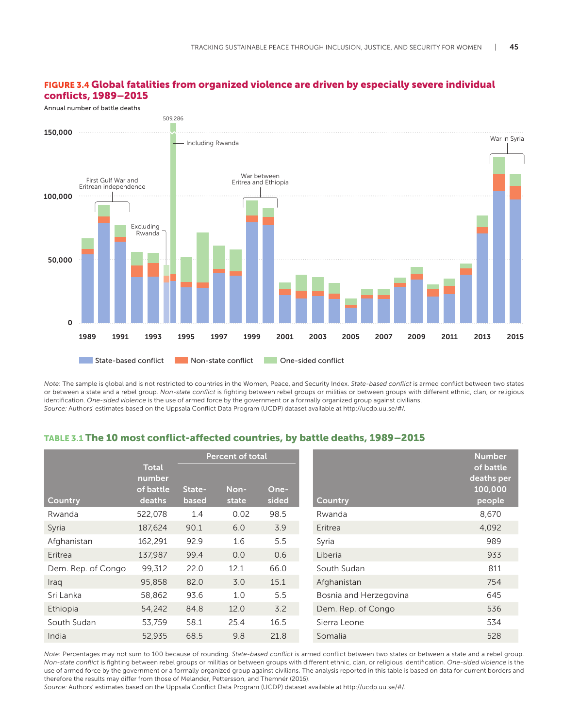## FIGURE 3.4 Global fatalities from organized violence are driven by especially severe individual conflicts, 1989–2015



*Note:* The sample is global and is not restricted to countries in the Women, Peace, and Security Index. *State-based conflict* is armed conflict between two states or between a state and a rebel group. *Non-state conflict* is fighting between rebel groups or militias or between groups with different ethnic, clan, or religious identification. *One-sided violence* is the use of armed force by the government or a formally organized group against civilians. *Source:* Authors' estimates based on the Uppsala Conflict Data Program (UCDP) dataset available at http://ucdp.uu.se/#/.

## TABLE 3.1 The 10 most conflict-affected countries, by battle deaths, 1989–2015

|                    |                                               | <b>Percent of total</b> |               |               |                        | <b>Number</b>                                |
|--------------------|-----------------------------------------------|-------------------------|---------------|---------------|------------------------|----------------------------------------------|
| <b>Country</b>     | <b>Total</b><br>number<br>of battle<br>deaths | State-<br>based         | Non-<br>state | One-<br>sided | <b>Country</b>         | of battle<br>deaths per<br>100,000<br>people |
| Rwanda             | 522,078                                       | 1.4                     | 0.02          | 98.5          | Rwanda                 | 8,670                                        |
| Syria              | 187,624                                       | 90.1                    | 6.0           | 3.9           | Eritrea                | 4,092                                        |
| Afghanistan        | 162,291                                       | 92.9                    | 1.6           | 5.5           | Syria                  | 989                                          |
| Eritrea            | 137,987                                       | 99.4                    | 0.0           | 0.6           | Liberia                | 933                                          |
| Dem. Rep. of Congo | 99.312                                        | 22.0                    | 12.1          | 66.0          | South Sudan            | 811                                          |
| Iraq               | 95,858                                        | 82.0                    | 3.0           | 15.1          | Afghanistan            | 754                                          |
| Sri Lanka          | 58,862                                        | 93.6                    | 1.0           | 5.5           | Bosnia and Herzegovina | 645                                          |
| Ethiopia           | 54,242                                        | 84.8                    | 12.0          | 3.2           | Dem. Rep. of Congo     | 536                                          |
| South Sudan        | 53,759                                        | 58.1                    | 25.4          | 16.5          | Sierra Leone           | 534                                          |
| India              | 52,935                                        | 68.5                    | 9.8           | 21.8          | Somalia                | 528                                          |

*Note:* Percentages may not sum to 100 because of rounding. *State-based conflict* is armed conflict between two states or between a state and a rebel group. *Non-state conflict* is fighting between rebel groups or militias or between groups with different ethnic, clan, or religious identification. *One-sided violence* is the use of armed force by the government or a formally organized group against civilians. The analysis reported in this table is based on data for current borders and therefore the results may differ from those of Melander, Pettersson, and Themnér (2016).

*Source:* Authors' estimates based on the Uppsala Conflict Data Program (UCDP) dataset available at http://ucdp.uu.se/#/.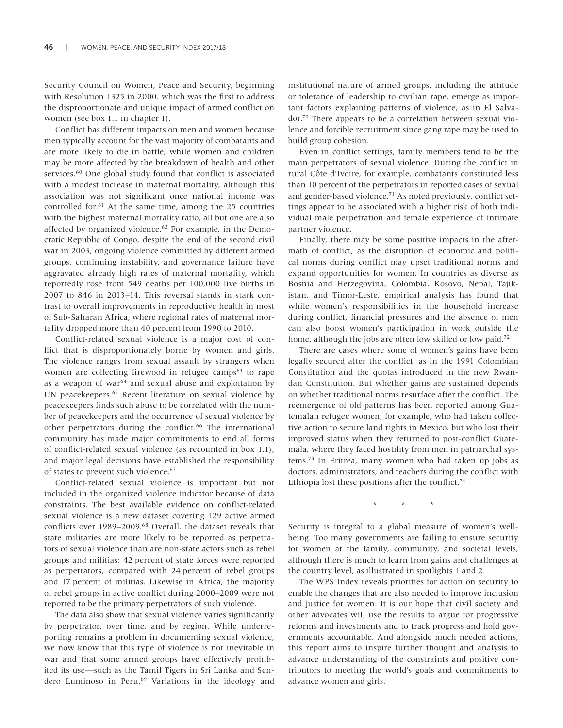[Security Council on Women, Peace and Security,](http://www.un.org/en/sc/) beginning with [Resolution 1325](http://www.un.org/en/ga/search/view_doc.asp?symbol=S/RES/1325(2000)) in 2000, which wa[s the first to address](http://www.un.org/en/ga/search/view_doc.asp?symbol=S/RES/1325(2000)) [the disproportionate and unique impact of armed conflict on](http://www.un.org/en/ga/search/view_doc.asp?symbol=S/RES/1325(2000)) [women](http://www.un.org/en/ga/search/view_doc.asp?symbol=S/RES/1325(2000)) (see box 1.1 in chapter 1)[.](http://www.un.org/en/ga/search/view_doc.asp?symbol=S/RES/1325(2000))

Conflict has different impacts on men and women because men typically account for the vast majority of combatants and are more likely to die in battle, while women and children may be more affected by the breakdown of health and other services.<sup>60</sup> One global study found that conflict is associated with a modest increase in maternal mortality, although this association was not significant once national income was controlled for.61 At the same time, among the 25 countries with the highest maternal mortality ratio, all but one are also affected by organized violence.62 For example, in the Democratic Republic of Congo, despite the end of the second civil war in 2003, ongoing violence committed by different armed groups, continuing instability, and governance failure have aggravated already high rates of maternal mortality, which reportedly rose from 549 deaths per 100,000 live births in 2007 to 846 in 2013–14. This reversal stands in stark contrast to overall improvements in reproductive health in most of Sub-Saharan Africa, where regional rates of maternal mortality dropped more than 40 percent from 1990 to 2010.

Conflict-related sexual violence is a major cost of conflict that is disproportionately borne by women and girls. The violence ranges from sexual assault by strangers when women are collecting firewood in refugee camps<sup>63</sup> to rape as a weapon of war $64$  and sexual abuse and exploitation by UN peacekeepers.65 Recent literature on sexual violence by peacekeepers finds such abuse to be correlated with the number of peacekeepers and the occurrence of sexual violence by other perpetrators during the conflict.<sup>66</sup> The international community has made major commitments to end all forms of conflict-related sexual violence (as recounted in box 1.1), and major legal decisions have established the responsibility of states to prevent such violence.<sup>67</sup>

Conflict-related sexual violence is important but not included in the organized violence indicator because of data constraints. The best available evidence on conflict-related sexual violence is a new dataset covering 129 active armed conflicts over 1989–2009.68 Overall, the dataset reveals that state militaries are more likely to be reported as perpetrators of sexual violence than are non-state actors such as rebel groups and militias: 42 percent of state forces were reported as perpetrators, compared with 24 percent of rebel groups and 17 percent of militias. Likewise in Africa, the majority of rebel groups in active conflict during 2000–2009 were not reported to be the primary perpetrators of such violence.

The data also show that sexual violence varies significantly by perpetrator, over time, and by region. While underreporting remains a problem in documenting sexual violence, we now know that this type of violence is not inevitable in war and that some armed groups have effectively prohibited its use—such as the Tamil Tigers in Sri Lanka and Sendero Luminoso in Peru.<sup>69</sup> Variations in the ideology and

institutional nature of armed groups, including the attitude or tolerance of leadership to civilian rape, emerge as important factors explaining patterns of violence, as in El Salvador.70 There appears to be a correlation between sexual violence and forcible recruitment since gang rape may be used to build group cohesion.

Even in conflict settings, family members tend to be the main perpetrators of sexual violence. During the conflict in rural Côte d'Ivoire, for example, combatants constituted less than 10 percent of the perpetrators in reported cases of sexual and gender-based violence.71 As noted previously, conflict settings appear to be associated with a higher risk of both individual male perpetration and female experience of intimate partner violence.

Finally, there may be some positive impacts in the aftermath of conflict, as the disruption of economic and political norms during conflict may upset traditional norms and expand opportunities for women. In countries as diverse as Bosnia and Herzegovina, Colombia, Kosovo, Nepal, Tajikistan, and Timor-Leste, empirical analysis has found that while women's responsibilities in the household increase during conflict, financial pressures and the absence of men can also boost women's participation in work outside the home, although the jobs are often low skilled or low paid.<sup>72</sup>

There are cases where some of women's gains have been legally secured after the conflict, as in the 1991 Colombian Constitution and the quotas introduced in the new Rwandan Constitution. But whether gains are sustained depends on whether traditional norms resurface after the conflict. The reemergence of old patterns has been reported among Guatemalan refugee women, for example, who had taken collective action to secure land rights in Mexico, but who lost their improved status when they returned to post-conflict Guatemala, where they faced hostility from men in patriarchal systems.73 In Eritrea, many women who had taken up jobs as doctors, administrators, and teachers during the conflict with Ethiopia lost these positions after the conflict.<sup>74</sup>

\* \* \*

Security is integral to a global measure of women's wellbeing. Too many governments are failing to ensure security for women at the family, community, and societal levels, although there is much to learn from gains and challenges at the country level, as illustrated in spotlights 1 and 2.

The WPS Index reveals priorities for action on security to enable the changes that are also needed to improve inclusion and justice for women. It is our hope that civil society and other advocates will use the results to argue for progressive reforms and investments and to track progress and hold governments accountable. And alongside much needed actions, this report aims to inspire further thought and analysis to advance understanding of the constraints and positive contributors to meeting the world's goals and commitments to advance women and girls.